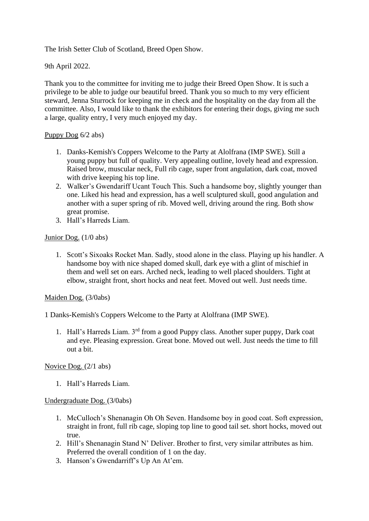The Irish Setter Club of Scotland, Breed Open Show.

9th April 2022.

Thank you to the committee for inviting me to judge their Breed Open Show. It is such a privilege to be able to judge our beautiful breed. Thank you so much to my very efficient steward, Jenna Sturrock for keeping me in check and the hospitality on the day from all the committee. Also, I would like to thank the exhibitors for entering their dogs, giving me such a large, quality entry, I very much enjoyed my day.

### Puppy Dog 6/2 abs)

- 1. Danks-Kemish's Coppers Welcome to the Party at Alolfrana (IMP SWE). Still a young puppy but full of quality. Very appealing outline, lovely head and expression. Raised brow, muscular neck, Full rib cage, super front angulation, dark coat, moved with drive keeping his top line.
- 2. Walker's Gwendariff Ucant Touch This. Such a handsome boy, slightly younger than one. Liked his head and expression, has a well sculptured skull, good angulation and another with a super spring of rib. Moved well, driving around the ring. Both show great promise.
- 3. Hall's Harreds Liam.

## Junior Dog. (1/0 abs)

1. Scott's Sixoaks Rocket Man. Sadly, stood alone in the class. Playing up his handler. A handsome boy with nice shaped domed skull, dark eye with a glint of mischief in them and well set on ears. Arched neck, leading to well placed shoulders. Tight at elbow, straight front, short hocks and neat feet. Moved out well. Just needs time.

### Maiden Dog. (3/0abs)

1 Danks-Kemish's Coppers Welcome to the Party at Alolfrana (IMP SWE).

1. Hall's Harreds Liam. 3rd from a good Puppy class. Another super puppy, Dark coat and eye. Pleasing expression. Great bone. Moved out well. Just needs the time to fill out a bit.

### Novice Dog. (2/1 abs)

1. Hall's Harreds Liam.

### Undergraduate Dog. (3/0abs)

- 1. McCulloch's Shenanagin Oh Oh Seven. Handsome boy in good coat. Soft expression, straight in front, full rib cage, sloping top line to good tail set. short hocks, moved out true.
- 2. Hill's Shenanagin Stand N' Deliver. Brother to first, very similar attributes as him. Preferred the overall condition of 1 on the day.
- 3. Hanson's Gwendarriff's Up An At'em.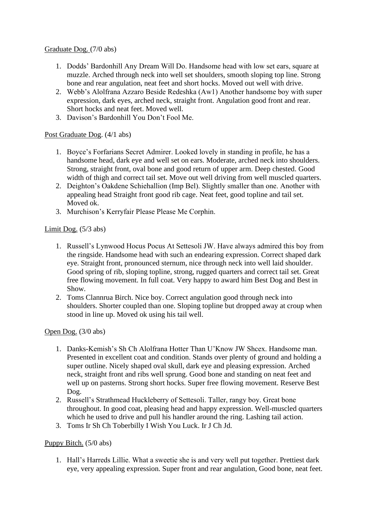## Graduate Dog. (7/0 abs)

- 1. Dodds' Bardonhill Any Dream Will Do. Handsome head with low set ears, square at muzzle. Arched through neck into well set shoulders, smooth sloping top line. Strong bone and rear angulation, neat feet and short hocks. Moved out well with drive.
- 2. Webb's Alolfrana Azzaro Beside Redeshka (Aw1) Another handsome boy with super expression, dark eyes, arched neck, straight front. Angulation good front and rear. Short hocks and neat feet. Moved well.
- 3. Davison's Bardonhill You Don't Fool Me.

# Post Graduate Dog. (4/1 abs)

- 1. Boyce's Forfarians Secret Admirer. Looked lovely in standing in profile, he has a handsome head, dark eye and well set on ears. Moderate, arched neck into shoulders. Strong, straight front, oval bone and good return of upper arm. Deep chested. Good width of thigh and correct tail set. Move out well driving from well muscled quarters.
- 2. Deighton's Oakdene Schiehallion (Imp Bel). Slightly smaller than one. Another with appealing head Straight front good rib cage. Neat feet, good topline and tail set. Moved ok.
- 3. Murchison's Kerryfair Please Please Me Corphin.

# Limit Dog. (5/3 abs)

- 1. Russell's Lynwood Hocus Pocus At Settesoli JW. Have always admired this boy from the ringside. Handsome head with such an endearing expression. Correct shaped dark eye. Straight front, pronounced sternum, nice through neck into well laid shoulder. Good spring of rib, sloping topline, strong, rugged quarters and correct tail set. Great free flowing movement. In full coat. Very happy to award him Best Dog and Best in Show.
- 2. Toms Clannrua Birch. Nice boy. Correct angulation good through neck into shoulders. Shorter coupled than one. Sloping topline but dropped away at croup when stood in line up. Moved ok using his tail well.

# Open Dog. (3/0 abs)

- 1. Danks-Kemish's Sh Ch Alolfrana Hotter Than U'Know JW Shcex. Handsome man. Presented in excellent coat and condition. Stands over plenty of ground and holding a super outline. Nicely shaped oval skull, dark eye and pleasing expression. Arched neck, straight front and ribs well sprung. Good bone and standing on neat feet and well up on pasterns. Strong short hocks. Super free flowing movement. Reserve Best Dog.
- 2. Russell's Strathmead Huckleberry of Settesoli. Taller, rangy boy. Great bone throughout. In good coat, pleasing head and happy expression. Well-muscled quarters which he used to drive and pull his handler around the ring. Lashing tail action.
- 3. Toms Ir Sh Ch Toberbilly I Wish You Luck. Ir J Ch Jd.

# Puppy Bitch. (5/0 abs)

1. Hall's Harreds Lillie. What a sweetie she is and very well put together. Prettiest dark eye, very appealing expression. Super front and rear angulation, Good bone, neat feet.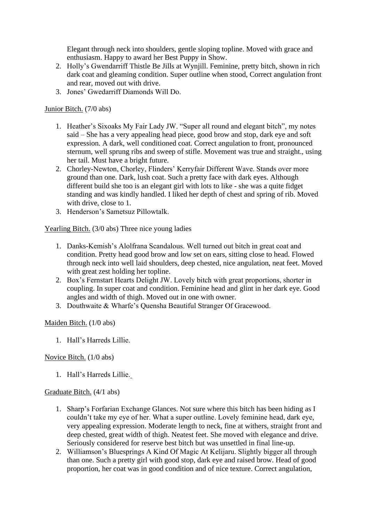Elegant through neck into shoulders, gentle sloping topline. Moved with grace and enthusiasm. Happy to award her Best Puppy in Show.

- 2. Holly's Gwendarriff Thistle Be Jills at Wynjill. Feminine, pretty bitch, shown in rich dark coat and gleaming condition. Super outline when stood, Correct angulation front and rear, moved out with drive.
- 3. Jones' Gwedarriff Diamonds Will Do.

## Junior Bitch. (7/0 abs)

- 1. Heather's Sixoaks My Fair Lady JW. "Super all round and elegant bitch", my notes said – She has a very appealing head piece, good brow and stop, dark eye and soft expression. A dark, well conditioned coat. Correct angulation to front, pronounced sternum, well sprung ribs and sweep of stifle. Movement was true and straight., using her tail. Must have a bright future.
- 2. Chorley-Newton, Chorley, Flinders' Kerryfair Different Wave. Stands over more ground than one. Dark, lush coat. Such a pretty face with dark eyes. Although different build she too is an elegant girl with lots to like - she was a quite fidget standing and was kindly handled. I liked her depth of chest and spring of rib. Moved with drive, close to 1.
- 3. Henderson's Sametsuz Pillowtalk.

Yearling Bitch. (3/0 abs) Three nice young ladies

- 1. Danks-Kemish's Alolfrana Scandalous. Well turned out bitch in great coat and condition. Pretty head good brow and low set on ears, sitting close to head. Flowed through neck into well laid shoulders, deep chested, nice angulation, neat feet. Moved with great zest holding her topline.
- 2. Box's Fernstart Hearts Delight JW. Lovely bitch with great proportions, shorter in coupling. In super coat and condition. Feminine head and glint in her dark eye. Good angles and width of thigh. Moved out in one with owner.
- 3. Douthwaite & Wharfe's Quensha Beautiful Stranger Of Gracewood.

Maiden Bitch. (1/0 abs)

1. Hall's Harreds Lillie.

Novice Bitch. (1/0 abs)

1. Hall's Harreds Lillie.

# Graduate Bitch. (4/1 abs)

- 1. Sharp's Forfarian Exchange Glances. Not sure where this bitch has been hiding as I couldn't take my eye of her. What a super outline. Lovely feminine head, dark eye, very appealing expression. Moderate length to neck, fine at withers, straight front and deep chested, great width of thigh. Neatest feet. She moved with elegance and drive. Seriously considered for reserve best bitch but was unsettled in final line-up.
- 2. Williamson's Bluesprings A Kind Of Magic At Kelijaru. Slightly bigger all through than one. Such a pretty girl with good stop, dark eye and raised brow. Head of good proportion, her coat was in good condition and of nice texture. Correct angulation,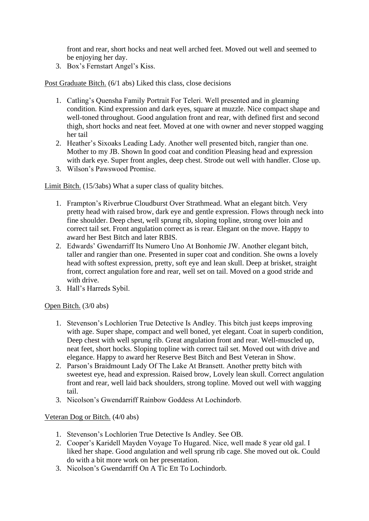front and rear, short hocks and neat well arched feet. Moved out well and seemed to be enjoying her day.

3. Box's Fernstart Angel's Kiss.

Post Graduate Bitch. (6/1 abs) Liked this class, close decisions

- 1. Catling's Quensha Family Portrait For Teleri. Well presented and in gleaming condition. Kind expression and dark eyes, square at muzzle. Nice compact shape and well-toned throughout. Good angulation front and rear, with defined first and second thigh, short hocks and neat feet. Moved at one with owner and never stopped wagging her tail
- 2. Heather's Sixoaks Leading Lady. Another well presented bitch, rangier than one. Mother to my JB. Shown In good coat and condition Pleasing head and expression with dark eye. Super front angles, deep chest. Strode out well with handler. Close up.
- 3. Wilson's Pawswood Promise.

Limit Bitch. (15/3abs) What a super class of quality bitches.

- 1. Frampton's Riverbrue Cloudburst Over Strathmead. What an elegant bitch. Very pretty head with raised brow, dark eye and gentle expression. Flows through neck into fine shoulder. Deep chest, well sprung rib, sloping topline, strong over loin and correct tail set. Front angulation correct as is rear. Elegant on the move. Happy to award her Best Bitch and later RBIS.
- 2. Edwards' Gwendarriff Its Numero Uno At Bonhomie JW. Another elegant bitch, taller and rangier than one. Presented in super coat and condition. She owns a lovely head with softest expression, pretty, soft eye and lean skull. Deep at brisket, straight front, correct angulation fore and rear, well set on tail. Moved on a good stride and with drive.
- 3. Hall's Harreds Sybil.

Open Bitch. (3/0 abs)

- 1. Stevenson's Lochlorien True Detective Is Andley. This bitch just keeps improving with age. Super shape, compact and well boned, yet elegant. Coat in superb condition, Deep chest with well sprung rib. Great angulation front and rear. Well-muscled up, neat feet, short hocks. Sloping topline with correct tail set. Moved out with drive and elegance. Happy to award her Reserve Best Bitch and Best Veteran in Show.
- 2. Parson's Braidmount Lady Of The Lake At Bransett. Another pretty bitch with sweetest eye, head and expression. Raised brow, Lovely lean skull. Correct angulation front and rear, well laid back shoulders, strong topline. Moved out well with wagging tail.
- 3. Nicolson's Gwendarriff Rainbow Goddess At Lochindorb.

# Veteran Dog or Bitch. (4/0 abs)

- 1. Stevenson's Lochlorien True Detective Is Andley. See OB.
- 2. Cooper's Karidell Mayden Voyage To Hugared. Nice, well made 8 year old gal. I liked her shape. Good angulation and well sprung rib cage. She moved out ok. Could do with a bit more work on her presentation.
- 3. Nicolson's Gwendarriff On A Tic Ett To Lochindorb.